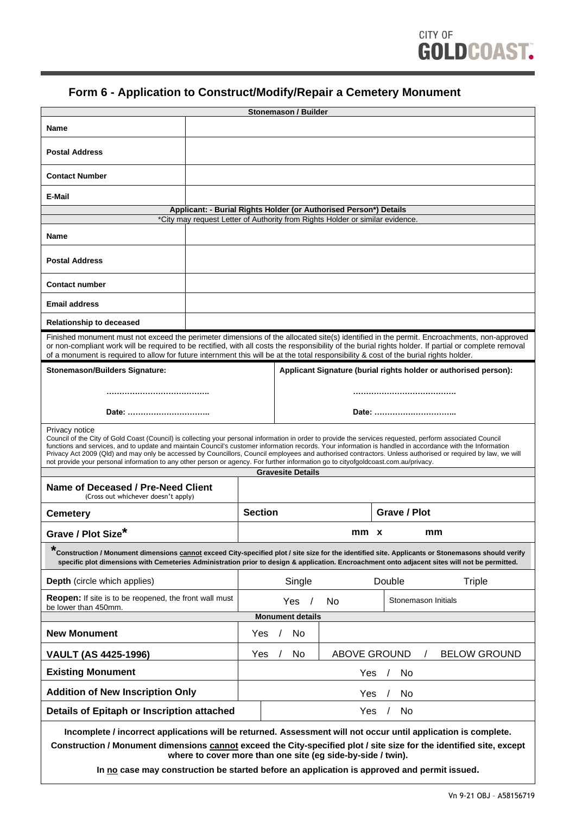## **Form 6 - Application to Construct/Modify/Repair a Cemetery Monument**

| Stonemason / Builder                                                                                                                                                                                                                                                                                                                                                                                                                                                                                                                                                                                                                                                       |                                                                  |                                           |  |  |              |  |  |
|----------------------------------------------------------------------------------------------------------------------------------------------------------------------------------------------------------------------------------------------------------------------------------------------------------------------------------------------------------------------------------------------------------------------------------------------------------------------------------------------------------------------------------------------------------------------------------------------------------------------------------------------------------------------------|------------------------------------------------------------------|-------------------------------------------|--|--|--------------|--|--|
| Name                                                                                                                                                                                                                                                                                                                                                                                                                                                                                                                                                                                                                                                                       |                                                                  |                                           |  |  |              |  |  |
| <b>Postal Address</b>                                                                                                                                                                                                                                                                                                                                                                                                                                                                                                                                                                                                                                                      |                                                                  |                                           |  |  |              |  |  |
| <b>Contact Number</b>                                                                                                                                                                                                                                                                                                                                                                                                                                                                                                                                                                                                                                                      |                                                                  |                                           |  |  |              |  |  |
| E-Mail                                                                                                                                                                                                                                                                                                                                                                                                                                                                                                                                                                                                                                                                     |                                                                  |                                           |  |  |              |  |  |
| Applicant: - Burial Rights Holder (or Authorised Person*) Details                                                                                                                                                                                                                                                                                                                                                                                                                                                                                                                                                                                                          |                                                                  |                                           |  |  |              |  |  |
| *City may request Letter of Authority from Rights Holder or similar evidence.                                                                                                                                                                                                                                                                                                                                                                                                                                                                                                                                                                                              |                                                                  |                                           |  |  |              |  |  |
| <b>Name</b>                                                                                                                                                                                                                                                                                                                                                                                                                                                                                                                                                                                                                                                                |                                                                  |                                           |  |  |              |  |  |
| <b>Postal Address</b>                                                                                                                                                                                                                                                                                                                                                                                                                                                                                                                                                                                                                                                      |                                                                  |                                           |  |  |              |  |  |
| <b>Contact number</b>                                                                                                                                                                                                                                                                                                                                                                                                                                                                                                                                                                                                                                                      |                                                                  |                                           |  |  |              |  |  |
| <b>Email address</b>                                                                                                                                                                                                                                                                                                                                                                                                                                                                                                                                                                                                                                                       |                                                                  |                                           |  |  |              |  |  |
| <b>Relationship to deceased</b>                                                                                                                                                                                                                                                                                                                                                                                                                                                                                                                                                                                                                                            |                                                                  |                                           |  |  |              |  |  |
| Finished monument must not exceed the perimeter dimensions of the allocated site(s) identified in the permit. Encroachments, non-approved<br>or non-compliant work will be required to be rectified, with all costs the responsibility of the burial rights holder. If partial or complete removal<br>of a monument is required to allow for future internment this will be at the total responsibility & cost of the burial rights holder.                                                                                                                                                                                                                                |                                                                  |                                           |  |  |              |  |  |
| <b>Stonemason/Builders Signature:</b>                                                                                                                                                                                                                                                                                                                                                                                                                                                                                                                                                                                                                                      | Applicant Signature (burial rights holder or authorised person): |                                           |  |  |              |  |  |
| Date:                                                                                                                                                                                                                                                                                                                                                                                                                                                                                                                                                                                                                                                                      |                                                                  | Date:                                     |  |  |              |  |  |
| Privacy notice<br>Council of the City of Gold Coast (Council) is collecting your personal information in order to provide the services requested, perform associated Council<br>functions and services, and to update and maintain Council's customer information records. Your information is handled in accordance with the Information<br>Privacy Act 2009 (Qld) and may only be accessed by Councillors, Council employees and authorised contractors. Unless authorised or required by law, we will<br>not provide your personal information to any other person or agency. For further information go to cityofgoldcoast.com.au/privacy.<br><b>Gravesite Details</b> |                                                                  |                                           |  |  |              |  |  |
| Name of Deceased / Pre-Need Client<br>(Cross out whichever doesn't apply)                                                                                                                                                                                                                                                                                                                                                                                                                                                                                                                                                                                                  |                                                                  |                                           |  |  |              |  |  |
| <b>Cemetery</b>                                                                                                                                                                                                                                                                                                                                                                                                                                                                                                                                                                                                                                                            | <b>Section</b>                                                   |                                           |  |  | Grave / Plot |  |  |
| $^\star$<br><b>Grave / Plot Size</b>                                                                                                                                                                                                                                                                                                                                                                                                                                                                                                                                                                                                                                       | mm x<br>mm                                                       |                                           |  |  |              |  |  |
| *Construction / Monument dimensions cannot exceed City-specified plot / site size for the identified site. Applicants or Stonemasons should verify<br>specific plot dimensions with Cemeteries Administration prior to design & application. Encroachment onto adjacent sites will not be permitted.                                                                                                                                                                                                                                                                                                                                                                       |                                                                  |                                           |  |  |              |  |  |
| <b>Depth</b> (circle which applies)                                                                                                                                                                                                                                                                                                                                                                                                                                                                                                                                                                                                                                        |                                                                  | Single<br>Double                          |  |  | Triple       |  |  |
| <b>Reopen:</b> If site is to be reopened, the front wall must<br>be lower than 450mm.                                                                                                                                                                                                                                                                                                                                                                                                                                                                                                                                                                                      |                                                                  | Stonemason Initials<br>Yes<br>No          |  |  |              |  |  |
| <b>Monument details</b>                                                                                                                                                                                                                                                                                                                                                                                                                                                                                                                                                                                                                                                    |                                                                  |                                           |  |  |              |  |  |
| <b>New Monument</b>                                                                                                                                                                                                                                                                                                                                                                                                                                                                                                                                                                                                                                                        | Yes                                                              | No                                        |  |  |              |  |  |
| <b>VAULT (AS 4425-1996)</b>                                                                                                                                                                                                                                                                                                                                                                                                                                                                                                                                                                                                                                                | Yes                                                              | ABOVE GROUND<br><b>BELOW GROUND</b><br>No |  |  |              |  |  |
| <b>Existing Monument</b>                                                                                                                                                                                                                                                                                                                                                                                                                                                                                                                                                                                                                                                   | Yes<br>No                                                        |                                           |  |  |              |  |  |
| <b>Addition of New Inscription Only</b>                                                                                                                                                                                                                                                                                                                                                                                                                                                                                                                                                                                                                                    | No<br>Yes                                                        |                                           |  |  |              |  |  |
| Details of Epitaph or Inscription attached                                                                                                                                                                                                                                                                                                                                                                                                                                                                                                                                                                                                                                 | Yes<br>No                                                        |                                           |  |  |              |  |  |
| Incomplete / incorrect applications will be returned. Assessment will not occur until application is complete.<br>Construction / Monument dimensions cannot exceed the City-specified plot / site size for the identified site, except                                                                                                                                                                                                                                                                                                                                                                                                                                     |                                                                  |                                           |  |  |              |  |  |

**Construction / Monument dimensions cannot exceed the City-specified plot / site size for the identified site, except where to cover more than one site (eg side-by-side / twin).**

**In no case may construction be started before an application is approved and permit issued.**